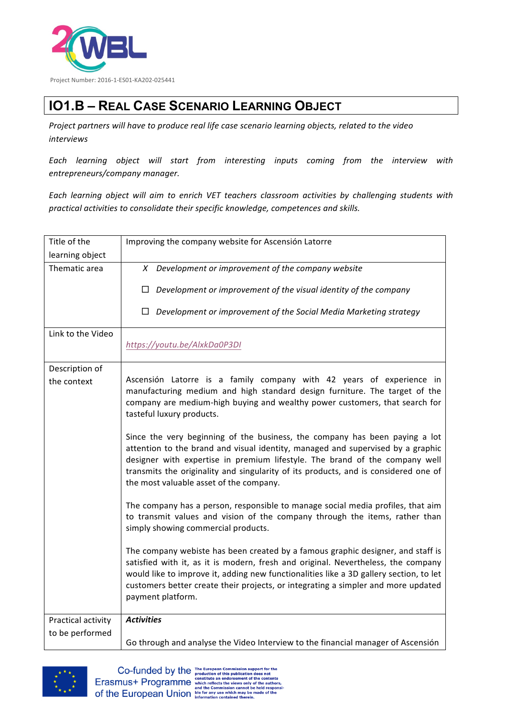

## **IO1.B – REAL CASE SCENARIO LEARNING OBJECT**

Project partners will have to produce real life case scenario learning objects, related to the video *interviews*

*Each learning object will start from interesting inputs coming from the interview with entrepreneurs/company manager.*

Each learning object will aim to enrich VET teachers classroom activities by challenging students with *practical activities to consolidate their specific knowledge, competences and skills.*

| Development or improvement of the Social Media Marketing strategy                                                                                                                                                                                                                                                                                   |
|-----------------------------------------------------------------------------------------------------------------------------------------------------------------------------------------------------------------------------------------------------------------------------------------------------------------------------------------------------|
|                                                                                                                                                                                                                                                                                                                                                     |
|                                                                                                                                                                                                                                                                                                                                                     |
|                                                                                                                                                                                                                                                                                                                                                     |
|                                                                                                                                                                                                                                                                                                                                                     |
|                                                                                                                                                                                                                                                                                                                                                     |
|                                                                                                                                                                                                                                                                                                                                                     |
| Ascensión Latorre is a family company with 42 years of experience in<br>manufacturing medium and high standard design furniture. The target of the<br>company are medium-high buying and wealthy power customers, that search for                                                                                                                   |
| Since the very beginning of the business, the company has been paying a lot<br>attention to the brand and visual identity, managed and supervised by a graphic<br>designer with expertise in premium lifestyle. The brand of the company well<br>transmits the originality and singularity of its products, and is considered one of                |
| The company has a person, responsible to manage social media profiles, that aim<br>to transmit values and vision of the company through the items, rather than                                                                                                                                                                                      |
| The company webiste has been created by a famous graphic designer, and staff is<br>satisfied with it, as it is modern, fresh and original. Nevertheless, the company<br>would like to improve it, adding new functionalities like a 3D gallery section, to let<br>customers better create their projects, or integrating a simpler and more updated |
|                                                                                                                                                                                                                                                                                                                                                     |
| Go through and analyse the Video Interview to the financial manager of Ascensión                                                                                                                                                                                                                                                                    |
|                                                                                                                                                                                                                                                                                                                                                     |